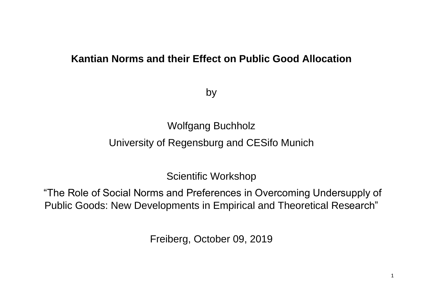#### **Kantian Norms and their Effect on Public Good Allocation**

by

Wolfgang Buchholz

University of Regensburg and CESifo Munich

Scientific Workshop

"The Role of Social Norms and Preferences in Overcoming Undersupply of Public Goods: New Developments in Empirical and Theoretical Research"

Freiberg, October 09, 2019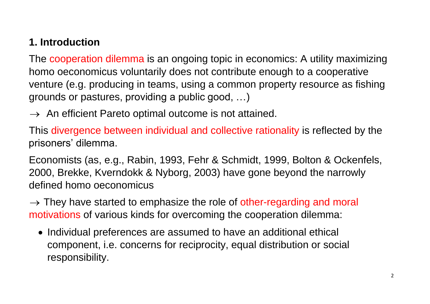# **1. Introduction**

The cooperation dilemma is an ongoing topic in economics: A utility maximizing homo oeconomicus voluntarily does not contribute enough to a cooperative venture (e.g. producing in teams, using a common property resource as fishing grounds or pastures, providing a public good, …)

 $\rightarrow$  An efficient Pareto optimal outcome is not attained.

This divergence between individual and collective rationality is reflected by the prisoners' dilemma.

Economists (as, e.g., Rabin, 1993, Fehr & Schmidt, 1999, Bolton & Ockenfels, 2000, Brekke, Kverndokk & Nyborg, 2003) have gone beyond the narrowly defined homo oeconomicus

 $\rightarrow$  They have started to emphasize the role of other-regarding and moral motivations of various kinds for overcoming the cooperation dilemma:

• Individual preferences are assumed to have an additional ethical component, i.e. concerns for reciprocity, equal distribution or social responsibility.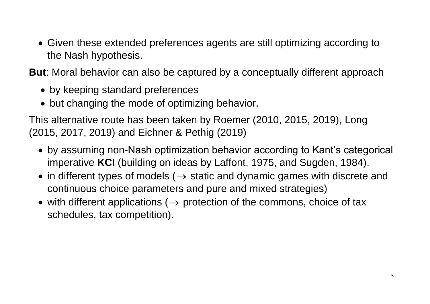Given these extended preferences agents are still optimizing according to the Nash hypothesis.

**But**: Moral behavior can also be captured by a conceptually different approach

- by keeping standard preferences
- but changing the mode of optimizing behavior.

This alternative route has been taken by Roemer (2010, 2015, 2019), Long (2015, 2017, 2019) and Eichner & Pethig (2019)

- by assuming non-Nash optimization behavior according to Kant's categorical imperative **KCI** (building on ideas by Laffont, 1975, and Sugden, 1984).
- in different types of models ( $\rightarrow$  static and dynamic games with discrete and continuous choice parameters and pure and mixed strategies)
- with different applications ( $\rightarrow$  protection of the commons, choice of tax schedules, tax competition).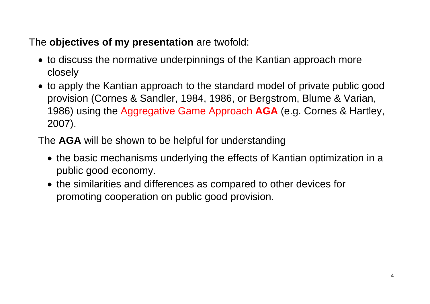## The **objectives of my presentation** are twofold:

- to discuss the normative underpinnings of the Kantian approach more closely
- to apply the Kantian approach to the standard model of private public good provision (Cornes & Sandler, 1984, 1986, or Bergstrom, Blume & Varian, 1986) using the Aggregative Game Approach **AGA** (e.g. Cornes & Hartley, 2007).

The **AGA** will be shown to be helpful for understanding

- the basic mechanisms underlying the effects of Kantian optimization in a public good economy.
- the similarities and differences as compared to other devices for promoting cooperation on public good provision.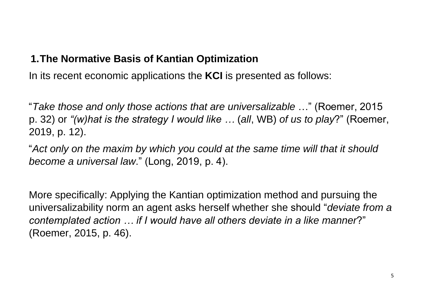#### **1.The Normative Basis of Kantian Optimization**

In its recent economic applications the **KCI** is presented as follows:

"*Take those and only those actions that are universalizable* …" (Roemer, 2015 p. 32) or *"(w)hat is the strategy I would like …* (*all*, WB) *of us to play*?" (Roemer, 2019, p. 12).

"*Act only on the maxim by which you could at the same time will that it should become a universal law*." (Long, 2019, p. 4).

More specifically: Applying the Kantian optimization method and pursuing the universalizability norm an agent asks herself whether she should "*deviate from a contemplated action … if I would have all others deviate in a like manner*?" (Roemer, 2015, p. 46).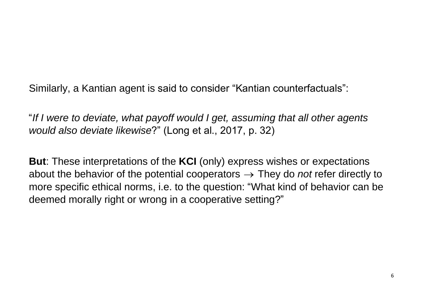Similarly, a Kantian agent is said to consider "Kantian counterfactuals":

"*If I were to deviate, what payoff would I get, assuming that all other agents would also deviate likewise*?" (Long et al., 2017, p. 32)

**But**: These interpretations of the **KCI** (only) express wishes or expectations about the behavior of the potential cooperators They do *not* refer directly to more specific ethical norms, i.e. to the question: "What kind of behavior can be deemed morally right or wrong in a cooperative setting?"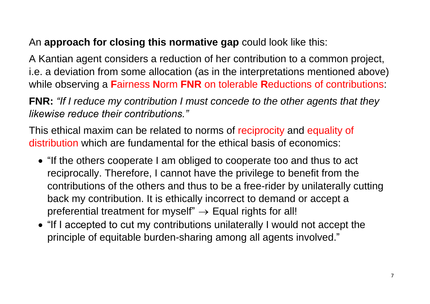## An **approach for closing this normative gap** could look like this:

A Kantian agent considers a reduction of her contribution to a common project, i.e. a deviation from some allocation (as in the interpretations mentioned above) while observing a **F**airness **N**orm **FNR** on tolerable **R**eductions of contributions:

**FNR:** *"If I reduce my contribution I must concede to the other agents that they likewise reduce their contributions."*

This ethical maxim can be related to norms of reciprocity and equality of distribution which are fundamental for the ethical basis of economics:

- "If the others cooperate I am obliged to cooperate too and thus to act reciprocally. Therefore, I cannot have the privilege to benefit from the contributions of the others and thus to be a free-rider by unilaterally cutting back my contribution. It is ethically incorrect to demand or accept a preferential treatment for myself"  $\rightarrow$  Equal rights for all!
- "If I accepted to cut my contributions unilaterally I would not accept the principle of equitable burden-sharing among all agents involved."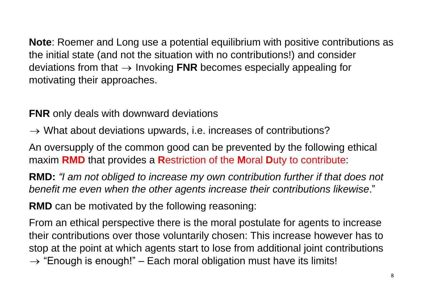**Note**: Roemer and Long use a potential equilibrium with positive contributions as the initial state (and not the situation with no contributions!) and consider deviations from that Invoking **FNR** becomes especially appealing for motivating their approaches.

**FNR** only deals with downward deviations

 $\rightarrow$  What about deviations upwards, i.e. increases of contributions?

An oversupply of the common good can be prevented by the following ethical maxim **RMD** that provides a **R**estriction of the **M**oral **D**uty to contribute:

**RMD:** *"I am not obliged to increase my own contribution further if that does not benefit me even when the other agents increase their contributions likewise*."

**RMD** can be motivated by the following reasoning:

From an ethical perspective there is the moral postulate for agents to increase their contributions over those voluntarily chosen: This increase however has to stop at the point at which agents start to lose from additional joint contributions  $\rightarrow$  "Enough is enough!" – Each moral obligation must have its limits!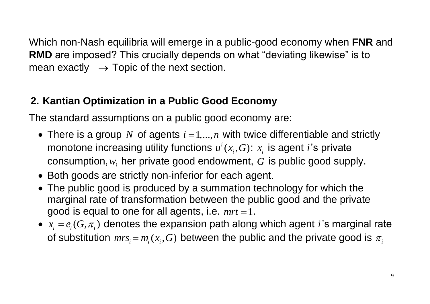Which non-Nash equilibria will emerge in a public-good economy when **FNR** and **RMD** are imposed? This crucially depends on what "deviating likewise" is to mean exactly  $\rightarrow$  Topic of the next section.

# **2. Kantian Optimization in a Public Good Economy**

The standard assumptions on a public good economy are:

- There is a group N of agents  $i = 1,...,n$  with twice differentiable and strictly monotone increasing utility functions  $u^i(x_i, G)$ :  $x_i$  is agent i's private  $\mathsf{consumption}, w_i$  her private good endowment,  $G$  is public good supply.
- Both goods are strictly non-inferior for each agent.
- The public good is produced by a summation technology for which the marginal rate of transformation between the public good and the private good is equal to one for all agents, i.e.  $mrt = 1$ .
- $x_i = e_i(G, \pi_i)$  denotes the expansion path along which agent *i*'s marginal rate of substitution  $mrs_i$  =  $m_i$  ( $x_i$  ,  $G$ ) between the public and the private good is  $\pi_i$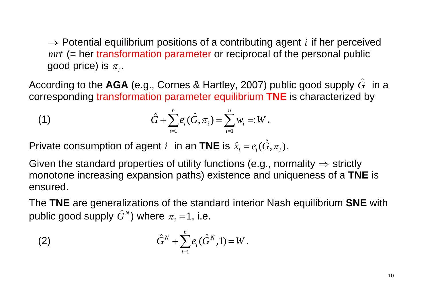Potential equilibrium positions of a contributing agent *i* if her perceived *mrt* (= her transformation parameter or reciprocal of the personal public good price) is  $\pi_{_i}.$ 

According to the AGA (e.g., Cornes & Hartley, 2007) public good supply  $\hat{G}\,\,$  in a

According to the **AGA** (e.g., Confies & halley, 2007) public good supply G. If corresponding **transformation parameter equilibrium THE** is characterized by 
$$
\hat{G} + \sum_{i=1}^{n} e_i(\hat{G}, \pi_i) = \sum_{i=1}^{n} w_i =:W
$$
.

Private consumption of agent *i* in an TNE is  $\hat{x}_i = e_i(\hat{G}, \pi_i)$ .

→ Potential equilibrium positions of a contributing agent *i* if her perceived<br> *mrt* (= her transformation parameter or reciprocal of the personal public<br>
good price) is  $\pi$ ,<br>
ording to the **AGA** (e.g., Cornes & Hartle Given the standard properties of utility functions (e.g., normality  $\Rightarrow$  strictly monotone increasing expansion paths) existence and uniqueness of a **TNE** is ensured.

The **TNE** are generalizations of the standard interior Nash equilibrium **SNE** with public good supply  $\hat G^N)$  where  $\pi_{_i}\!=\!1,$  i.e.

(2) 
$$
\hat{G}^N + \sum_{i=1}^n e_i(\hat{G}^N, 1) = W.
$$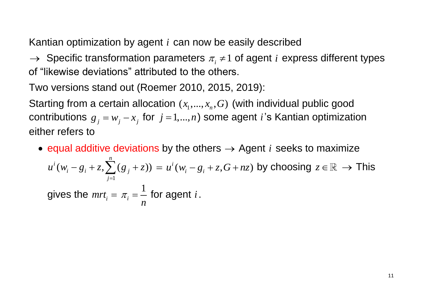Kantian optimization by agent *i* can now be easily described

 $\rightarrow$  Specific transformation parameters  $\pi_i \neq 1$  of agent *i* express different types of "likewise deviations" attributed to the others.

Two versions stand out (Roemer 2010, 2015, 2019):

Starting from a certain allocation  $(x_1, ..., x_n, G)$  (with individual public good contributions  $g_j = w_j - x_j$  for  $j = 1,...,n$ ) some agent *i*'s Kantian optimization either refers to

• equal additive deviations by the others  $\rightarrow$  Agent *i* seeks to maximize 1 qual additive deviation $(w_i - g_i + z, \sum^n(s_j + z))$ *n*  $i(w_i - g_i + z, \sum_{i=1}^{n} (g_j - g_i))$ *j* equal additive deviation $u^i(w_i - g_i + z, \sum^n_i (g_j + z))$  $=$ ( additive deviations by the others  $\rightarrow$  Agent  $\iota$  seeks to maximize<br>  $-g_{\iota}+z, \sum_{i}^{n}(g_{\iota}+z)) = u^{i}(w_{\iota}-g_{\iota}+z, G+nz)$  by choosing  $z \in \mathbb{R} \rightarrow$  This gives the  $mrt_i =$ 1 *i n*  $\pi_i = \frac{1}{i}$  for agent *i*.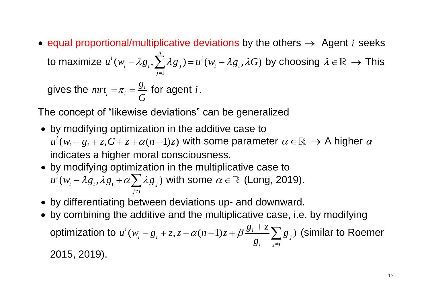• equal proportional/multiplicative deviations by the others  $\rightarrow$  Agent *i* seeks to maximize 1  $(w_i - \lambda g_i, \sum^n \lambda g_j)$  $\iota^i(w_i - \lambda g_i, \sum \lambda g_j)$ *j*  $u^{i}(w_{i}-\lambda g_{i},\sum^{n}\lambda g_{j})$  $=$  $-\lambda g_i$ ,  $\sum_{i=1}^{n} \lambda g_j$ ) =  $u^i(w_i - \lambda g_i, \lambda G)$  by choosing  $\lambda \in \mathbb{R} \to$  This

gives the  $mrt_i = \pi_i = \frac{\delta_i}{\delta_i}$ *i g G*  $\pi_i = \frac{\delta_i}{\sigma}$  for agent *i*.

The concept of "likewise deviations" can be generalized

- by modifying optimization in the additive case to by modifying optimization in the  $u^i(w_i - g_i + z, G + z + \alpha(n-1)z)$  with with some parameter  $\alpha \in \mathbb{R} \to A$  higher  $\alpha$ indicates a higher moral consciousness.
- by modifying optimization in the multiplicative case to y modifying optimization<br>  $\psi^i(w_i - \lambda g_i, \lambda g_i + \alpha \sum_j \lambda g_j)$  $\sum_{j \neq i}$ by modifying optimization in<br> $u^i(w_i - \lambda g_i, \lambda g_i + \alpha \sum_j \lambda g_j)$  wi  $\neq$ allow a mighter moral conceled<br>contribution of the multiplicative case to<br> $-\lambda g_i, \lambda g_i + \alpha \sum \lambda g_j$ ) with some  $\alpha \in \mathbb{R}$  (Long, 2019).
- by differentiating between deviations up- and downward.
- by combining the additive and the multiplicative case, i.e. by modifying optimization to between deviations up- and downwar<br>
additive and the multiplicative case, i<br>  $i(w_i - g_i + z, z + \alpha (n-1)z + \beta \frac{g_i + z}{g_i} \sum_{j \neq i} g_j)$  $\frac{+z}{i}$   $\sum_{j\neq i}$ d do<sub>'</sub><br>*g*<sub>*i*</sub> + *z g* between deviations up- and downware additive and the multiplicative case<br>  $u^i(w_i - g_i + z, z + \alpha (n-1)z + \beta \frac{g_i + z}{g_i} \sum_{j \neq i} g_j$  $\ddot{}$ ween deviations up- and down<br>ditive and the multiplicative cas<br>-  $g_i$  + z, z +  $\alpha$ (n - 1)z +  $\beta \frac{g_i + z}{g_i} \sum_{i \neq i}$ (similar to Roemer

2015, 2019).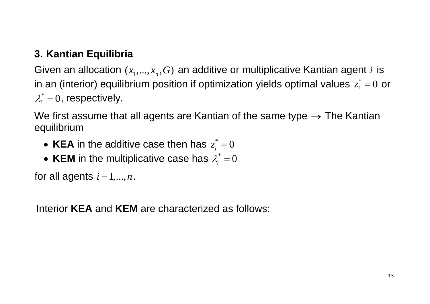### **3. Kantian Equilibria**

Given an allocation  $(x_1,...,x_n, G)$  an additive or multiplicative Kantian agent *i* is in an (interior) equilibrium position if optimization yields optimal values  $z_i^* = 0$  or  $\lambda_i^*$  = 0, respectively.

We first assume that all agents are Kantian of the same type  $\rightarrow$  The Kantian equilibrium

- KEA in the additive case then has  $z_i^* = 0$
- KEM in the multiplicative case has  $\lambda_i^* = 0$

for all agents  $i = 1, ..., n$ .

Interior **KEA** and **KEM** are characterized as follows: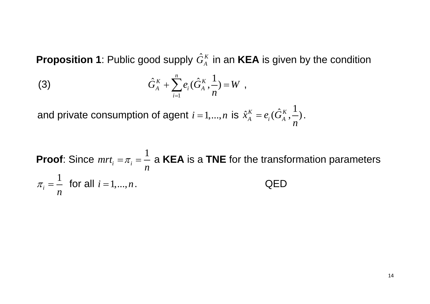**Proposition 1**: Public good supply  $\hat{G}_{\scriptscriptstyle{A}}^{\scriptscriptstyle{K}}$  in an **KEA** is given by the condition

(3) 
$$
\hat{G}_{A}^{K} + \sum_{i=1}^{n} e_{i}(\hat{G}_{A}^{K}, \frac{1}{n}) = W ,
$$

and private consumption of agent  $i = 1,...,n$  is  $\hat{x}_{A}^{K} = e_{i}(\hat{G}_{A}^{K}, \frac{1}{n})$ *n*  $=e_i(G_A^K, \frac{1}{r}).$ 

**Proof**: Since *mrt<sup>i</sup>* 1 *i n*  $\pi_i = \frac{1}{2}$  a **KEA** is a TNE for the transformation parameters 1 *i n*  $\pi_i = \frac{1}{i}$  for all  $i = 1,...,n$ . QED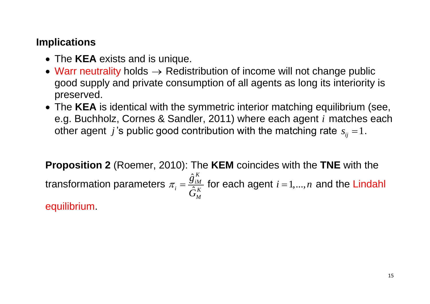#### **Implications**

- The **KEA** exists and is unique.
- Warr neutrality holds  $\rightarrow$  Redistribution of income will not change public good supply and private consumption of all agents as long its interiority is preserved.
- The **KEA** is identical with the symmetric interior matching equilibrium (see, e.g. Buchholz, Cornes & Sandler, 2011) where each agent *i* matches each other agent  $j$ 's public good contribution with the matching rate  $s_{ij} = 1$ .

**Proposition 2** (Roemer, 2010): The **KEM** coincides with the **TNE** with the transformation parameters  $\hat{\c{g}}$  $\hat{\Omega}$ *K iM*  $i - \hat{K}$ *M g G*  $\pi_i = \frac{\delta_i M_i}{\delta_i}$  for each agent  $i = 1,...,n$  and the Lindahl equilibrium.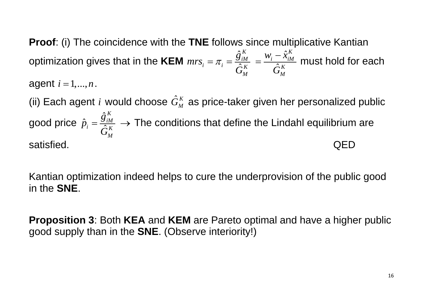**Proof**: (i) The coincidence with the **TNE** follows since multiplicative Kantian optimization gives that in the **KEM**  $\hat{\c{g}}$  $\hat{\zeta}$ *K*  $\tau_i = \pi_i = \frac{\delta_{iM}}{\hat{K}}$ *M g mrs G*  $=\pi_i=\frac{\hat{S}_{iM}^K}{\hat{S}_{iK}}=\frac{W_i-\hat{X}_{i}}{\hat{S}_{iK}}$  $\hat{\zeta}$ *K*  $i - \lambda_{iM}$ *K M*  $W_i - \hat{x}$ *G* —  $=\frac{m_i - m_{iM}}{2 \epsilon}$  must hold for each agent  $i = 1, ..., n$ .

(ii) Each agent *i* would choose  $\hat{G}_{\!M}^{\,K}$  as price-taker given her personalized public good price  $\hat{\c{g}}$  $\hat{p}$  $\hat{\zeta}$ *K iM*  $i = \hat{K}$ *M g p G*  $\eta = \frac{\delta_{iM}}{\delta_{iK}} \to$  The conditions that define the Lindahl equilibrium are satisfied. QED

Kantian optimization indeed helps to cure the underprovision of the public good in the **SNE**.

**Proposition 3**: Both **KEA** and **KEM** are Pareto optimal and have a higher public good supply than in the **SNE**. (Observe interiority!)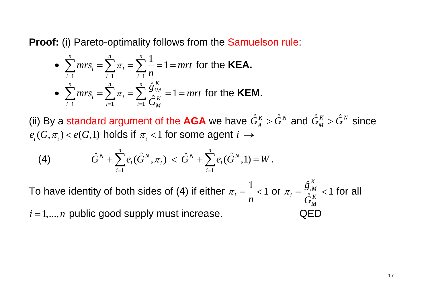**Proof:** (i) Pareto-optimality follows from the Samuelson rule:

• 
$$
\sum_{i=1}^{n} mrs_i = \sum_{i=1}^{n} \pi_i = \sum_{i=1}^{n} \frac{1}{n} = 1 = mrt
$$
 for the **KEA**.  
\n• 
$$
\sum_{i=1}^{n} mrs_i = \sum_{i=1}^{n} \pi_i = \sum_{i=1}^{n} \frac{\hat{g}_{iM}^K}{\hat{G}_M^K} = 1 = mrt
$$
 for the **KEM**.

(ii) By a standard argument of the AGA we have  $\hat{G}^{\scriptscriptstyle{K}}_{{\scriptscriptstyle{A}}}>\hat{G}^{\scriptscriptstyle{N}}$  and  $\hat{G}^{\scriptscriptstyle{K}}_{{\scriptscriptstyle{M}}}> \hat{G}^{\scriptscriptstyle{N}}$  since  $e_i(G, \pi_i) < e(G,1)$  holds if  $\pi_i < 1$  for some agent  $i \to$ 

(4) 
$$
\hat{G}^{N} + \sum_{i=1}^{n} e_{i}(\hat{G}^{N}, \pi_{i}) < \hat{G}^{N} + \sum_{i=1}^{n} e_{i}(\hat{G}^{N}, 1) = W.
$$

To have identity of both sides of (4) if either 1  $i = \frac{1}{i} < 1$ *n*  $\pi_i = \frac{1}{2} < 1$  or  $\hat{\c{g}}$ 1  $\hat{\Omega}$ *K iM*  $i = \hat{K}$ *M g G*  $\pi_i = \frac{g_{iM}^{\text{th}}}{2\kappa} < 1$  for all

 $i = 1, ..., n$  public good supply must increase.  $QED$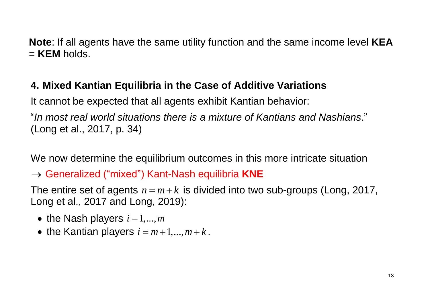**Note**: If all agents have the same utility function and the same income level **KEA** = **KEM** holds.

# **4. Mixed Kantian Equilibria in the Case of Additive Variations**

It cannot be expected that all agents exhibit Kantian behavior:

"*In most real world situations there is a mixture of Kantians and Nashians*." (Long et al., 2017, p. 34)

We now determine the equilibrium outcomes in this more intricate situation

 $\rightarrow$  Generalized ("mixed") Kant-Nash equilibria KNE

The entire set of agents  $n = m + k$  is divided into two sub-groups (Long, 2017, Long et al., 2017 and Long, 2019):

- the Nash players  $i = 1, \ldots, m$
- the Kantian players  $i = 1, ..., m$ <br>• the Kantian players  $i = m+1, ..., m+k$ .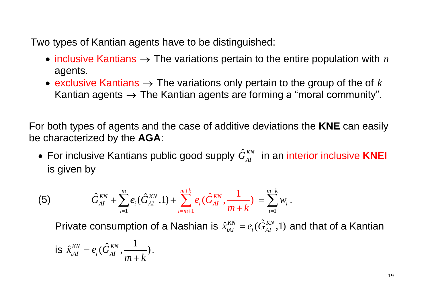Two types of Kantian agents have to be distinguished:

- inclusive Kantians  $\rightarrow$  The variations pertain to the entire population with  $n$ agents.
- exclusive Kantians  $\rightarrow$  The variations only pertain to the group of the of  $k$ Kantian agents  $\rightarrow$  The Kantian agents are forming a "moral community".

For both types of agents and the case of additive deviations the **KNE** can easily be characterized by the **AGA**:

 $\bullet$  For inclusive Kantians public good supply  $\hat{G}^{\textit{KN}}_{\textit{AI}}$  in an interior inclusive KNEI is given by

(5)

\n
$$
\hat{G}_{AI}^{KN} + \sum_{i=1}^{m} e_i(\hat{G}_{AI}^{KN}, 1) + \sum_{i=m+1}^{m+k} e_i(\hat{G}_{AI}^{KN}, \frac{1}{m+k}) = \sum_{i=1}^{m+k} w_i.
$$

Private consumption of a Nashian is  $\hat{x}^{KN}_{iAI} = e_i(\hat{G}^{KN}_{AI}, 1)$  and that of a Kantian

is 
$$
\hat{x}_{iAI}^{KN} = e_i(\hat{G}_{AI}^{KN}, \frac{1}{m+k})
$$
.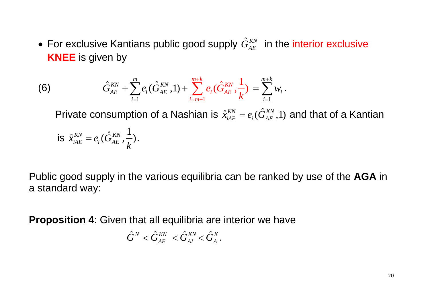$\bullet$  For exclusive Kantians public good supply  $\hat G_{AE}^{KN}$  in the interior exclusive **KNEE** is given by

(6) 
$$
\hat{G}_{AE}^{KN} + \sum_{i=1}^{m} e_i(\hat{G}_{AE}^{KN}, 1) + \sum_{i=m+1}^{m+k} e_i(\hat{G}_{AE}^{KN}, \frac{1}{k}) = \sum_{i=1}^{m+k} w_i.
$$

Private consumption of a Nashian is  $\hat{x}^{KN}_{iAE} = e_i(\hat{G}^{KN}_{AE}, 1)$  and that of a Kantian is  $\hat{x}_{iAE}^{KN} = e_i(\hat{G}_{AE}^{KN}, \frac{1}{k})$ *k*  $= e_i(G_{AF}^{KN}, \frac{1}{I}).$ 

Public good supply in the various equilibria can be ranked by use of the **AGA** in a standard way:

**Proposition 4**: Given that all equilibria are interior we have

$$
\hat{G}^{\scriptscriptstyle N} < \hat{G}^{\scriptscriptstyle KN}_{\scriptscriptstyle AE} < \hat{G}^{\scriptscriptstyle KN}_{\scriptscriptstyle AI} < \hat{G}^{\scriptscriptstyle K}_{\scriptscriptstyle A}.
$$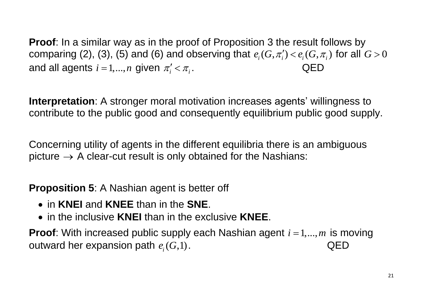**Proof**: In a similar way as in the proof of Proposition 3 the result follows by **Proof**: In a similar way as in the proof of Proposition 3 the result follows by comparing (2), (3), (5) and (6) and observing that  $e_i(G, \pi'_i) < e_i(G, \pi_i)$  for all  $G$ >0 and all agents  $i$  = 1,..., $n$  given  $\pi'_i$  <  $\pi_{_i}$ . QED

**Interpretation**: A stronger moral motivation increases agents' willingness to contribute to the public good and consequently equilibrium public good supply.

Concerning utility of agents in the different equilibria there is an ambiguous picture  $\rightarrow$  A clear-cut result is only obtained for the Nashians:

**Proposition 5**: A Nashian agent is better off

- in **KNEI** and **KNEE** than in the **SNE**.
- in the inclusive **KNEI** than in the exclusive **KNEE**.

**Proof**: With increased public supply each Nashian agent  $i = 1,...,m$  is moving outward her expansion path  $e_i(G,1)$ . QED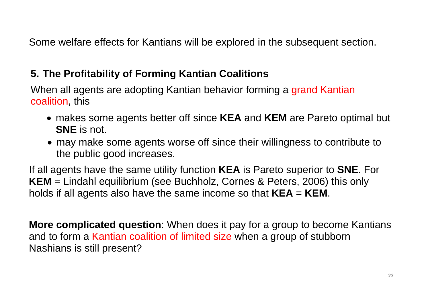Some welfare effects for Kantians will be explored in the subsequent section.

## **5. The Profitability of Forming Kantian Coalitions**

When all agents are adopting Kantian behavior forming a grand Kantian coalition, this

- makes some agents better off since **KEA** and **KEM** are Pareto optimal but **SNE** is not.
- may make some agents worse off since their willingness to contribute to the public good increases.

If all agents have the same utility function **KEA** is Pareto superior to **SNE**. For **KEM** = Lindahl equilibrium (see Buchholz, Cornes & Peters, 2006) this only holds if all agents also have the same income so that **KEA** = **KEM**.

**More complicated question**: When does it pay for a group to become Kantians and to form a Kantian coalition of limited size when a group of stubborn Nashians is still present?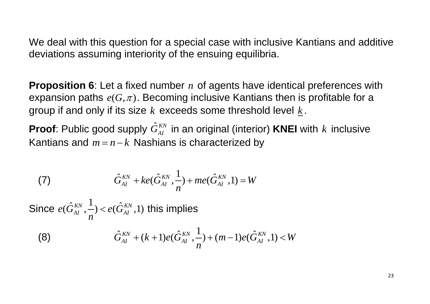We deal with this question for a special case with inclusive Kantians and additive deviations assuming interiority of the ensuing equilibria.

**Proposition 6**: Let a fixed number *n* of agents have identical preferences with expansion paths  $e(G, \pi)$ . Becoming inclusive Kantians then is profitable for a group if and only if its size  $k$  exceeds some threshold level  $\underline{k}$ .

**Proof**: Public good supply  $\hat{G}_{AI}^{KN}$  in an original (interior) KNEI with  $k$  inclusive Kantians and  $m = n - k$  Nashians is characterized by

(7) 
$$
\hat{G}_{AI}^{KN} + ke(\hat{G}_{AI}^{KN}, \frac{1}{n}) + me(\hat{G}_{AI}^{KN}, 1) = W
$$

Since  $e(\hat{G}_{AI}^{KN}, \frac{1}{n}) < e(\hat{G}_{AI}^{KN}, 1)$ *n*  $<$   $e(G_{AI}^{KN},1)$  this implies

Since 
$$
e(\hat{G}_{AI}^{KN}, \frac{1}{n}) < e(\hat{G}_{AI}^{KN}, 1)
$$
 this implies

\n(8)

\n
$$
\hat{G}_{AI}^{KN} + (k+1)e(\hat{G}_{AI}^{KN}, \frac{1}{n}) + (m-1)e(\hat{G}_{AI}^{KN}, 1) < W
$$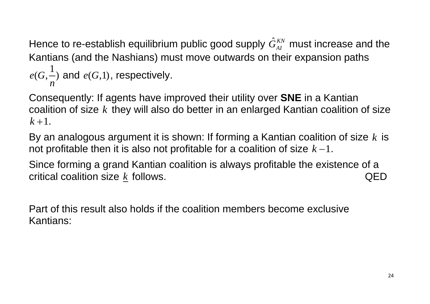Hence to re-establish equilibrium public good supply  $\hat{G}_{\scriptscriptstyle{AI}}^{\scriptscriptstyle{KN}}$  must increase and the Kantians (and the Nashians) must move outwards on their expansion paths 1  $e(G, \frac{1}{\cdot})$ *n* and  $e(G,1)$ , respectively.

Consequently: If agents have improved their utility over **SNE** in a Kantian coalition of size *k* they will also do better in an enlarged Kantian coalition of size  $k + 1$ .

By an analogous argument it is shown: If forming a Kantian coalition of size *k* is not profitable then it is also not profitable for a coalition of size  $k - 1$ .

Since forming a grand Kantian coalition is always profitable the existence of a  $\quad$  critical coalition size  $\underline{k}$  follows.  $\hfill\textsf{QED}$ 

Part of this result also holds if the coalition members become exclusive Kantians: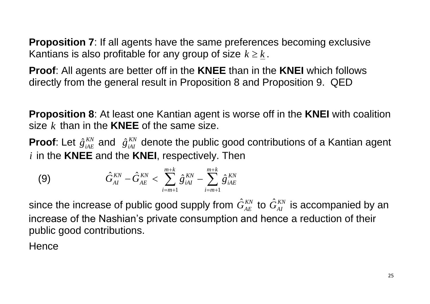**Proposition 7:** If all agents have the same preferences becoming exclusive Kantians is also profitable for any group of size  $k \geq \underline{k}$  .

**Proof**: All agents are better off in the **KNEE** than in the **KNEI** which follows directly from the general result in Proposition 8 and Proposition 9. QED

**Proposition 8**: At least one Kantian agent is worse off in the **KNEI** with coalition size *k* than in the **KNEE** of the same size.

**Proof**: Let  $\hat{g}^{KN}_{iAE}$  and  $\hat{g}^{KN}_{iAI}$  denote the public good contributions of a Kantian agent *i* in the **KNEE** and the **KNEI**, respectively. Then

(9) 
$$
\hat{G}_{AI}^{KN} - \hat{G}_{AE}^{KN} < \sum_{i=m+1}^{m+k} \hat{g}_{iAI}^{KN} - \sum_{i=m+1}^{m+k} \hat{g}_{iAE}^{KN}
$$

since the increase of public good supply from  $\hat G_{AE}^{KN}$  to  $\hat G_{AI}^{KN}$  is accompanied by an increase of the Nashian's private consumption and hence a reduction of their public good contributions.

**Hence**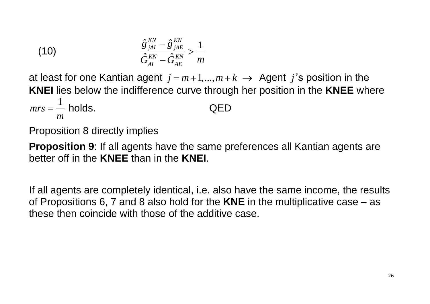(10) 
$$
\frac{\hat{g}_{jAI}^{KN} - \hat{g}_{jAE}^{KN}}{\hat{G}_{AI}^{KN} - \hat{G}_{AE}^{KN}} > \frac{1}{m}
$$

at least for one Kantian agent  $j = m+1,...,m+k \rightarrow$  Agent  $j$ 's position in the **KNEI** lies below the indifference curve through her position in the **KNEE** where 1  $mrs = -$  holds. QED *m*

Proposition 8 directly implies

**Proposition 9**: If all agents have the same preferences all Kantian agents are better off in the **KNEE** than in the **KNEI**.

If all agents are completely identical, i.e. also have the same income, the results of Propositions 6, 7 and 8 also hold for the **KNE** in the multiplicative case – as these then coincide with those of the additive case.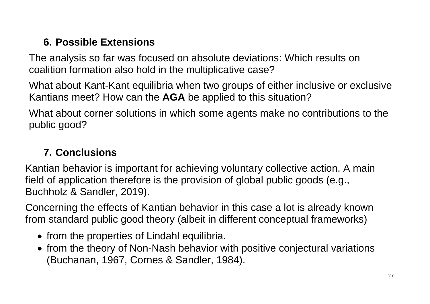# **6. Possible Extensions**

The analysis so far was focused on absolute deviations: Which results on coalition formation also hold in the multiplicative case?

What about Kant-Kant equilibria when two groups of either inclusive or exclusive Kantians meet? How can the **AGA** be applied to this situation?

What about corner solutions in which some agents make no contributions to the public good?

### **7. Conclusions**

Kantian behavior is important for achieving voluntary collective action. A main field of application therefore is the provision of global public goods (e.g., Buchholz & Sandler, 2019).

Concerning the effects of Kantian behavior in this case a lot is already known from standard public good theory (albeit in different conceptual frameworks)

- from the properties of Lindahl equilibria.
- from the theory of Non-Nash behavior with positive conjectural variations (Buchanan, 1967, Cornes & Sandler, 1984).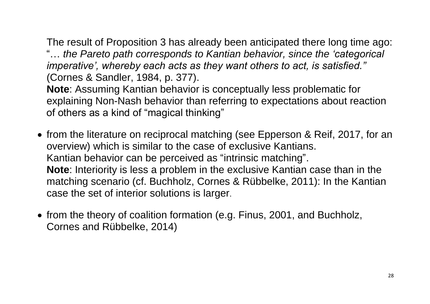The result of Proposition 3 has already been anticipated there long time ago: "… *the Pareto path corresponds to Kantian behavior, since the 'categorical imperative', whereby each acts as they want others to act, is satisfied."*  (Cornes & Sandler, 1984, p. 377).

**Note**: Assuming Kantian behavior is conceptually less problematic for explaining Non-Nash behavior than referring to expectations about reaction of others as a kind of "magical thinking"

- from the literature on reciprocal matching (see Epperson & Reif, 2017, for an overview) which is similar to the case of exclusive Kantians. Kantian behavior can be perceived as "intrinsic matching". **Note**: Interiority is less a problem in the exclusive Kantian case than in the matching scenario (cf. Buchholz, Cornes & Rübbelke, 2011): In the Kantian case the set of interior solutions is larger.
- from the theory of coalition formation (e.g. Finus, 2001, and Buchholz, Cornes and Rübbelke, 2014)